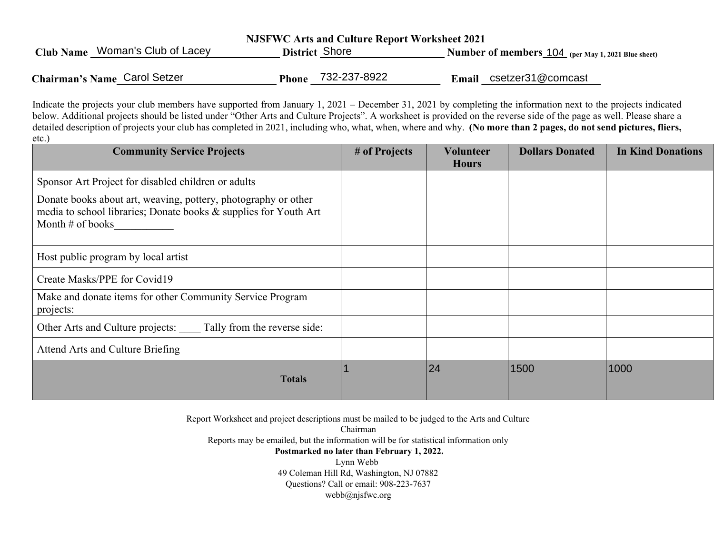| <b>NJSFWC Arts and Culture Report Worksheet 2021</b> |                       |                                                    |  |  |  |  |
|------------------------------------------------------|-----------------------|----------------------------------------------------|--|--|--|--|
| Club Name Woman's Club of Lacey                      | District Shore        | Number of members 104 (per May 1, 2021 Blue sheet) |  |  |  |  |
| Chairman's Name Carol Setzer                         | 732-237-8922<br>Phone | Email csetzer31@comcast                            |  |  |  |  |

Indicate the projects your club members have supported from January 1, 2021 – December 31, 2021 by completing the information next to the projects indicated below. Additional projects should be listed under "Other Arts and Culture Projects". A worksheet is provided on the reverse side of the page as well. Please share a detailed description of projects your club has completed in 2021, including who, what, when, where and why. **(No more than 2 pages, do not send pictures, fliers,** etc.)

| <b>Community Service Projects</b>                                                                                                                        | # of Projects | Volunteer<br><b>Hours</b> | <b>Dollars Donated</b> | <b>In Kind Donations</b> |
|----------------------------------------------------------------------------------------------------------------------------------------------------------|---------------|---------------------------|------------------------|--------------------------|
| Sponsor Art Project for disabled children or adults                                                                                                      |               |                           |                        |                          |
| Donate books about art, weaving, pottery, photography or other<br>media to school libraries; Donate books & supplies for Youth Art<br>Month $#$ of books |               |                           |                        |                          |
| Host public program by local artist                                                                                                                      |               |                           |                        |                          |
| Create Masks/PPE for Covid19                                                                                                                             |               |                           |                        |                          |
| Make and donate items for other Community Service Program<br>projects:                                                                                   |               |                           |                        |                          |
| Other Arts and Culture projects: Tally from the reverse side:                                                                                            |               |                           |                        |                          |
| Attend Arts and Culture Briefing                                                                                                                         |               |                           |                        |                          |
| <b>Totals</b>                                                                                                                                            |               | 24                        | 1500                   | 1000                     |

Report Worksheet and project descriptions must be mailed to be judged to the Arts and Culture Chairman

Reports may be emailed, but the information will be for statistical information only **Postmarked no later than February 1, 2022.**  Lynn Webb 49 Coleman Hill Rd, Washington, NJ 07882 Questions? Call or email: 908-223-7637 webb@njsfwc.org